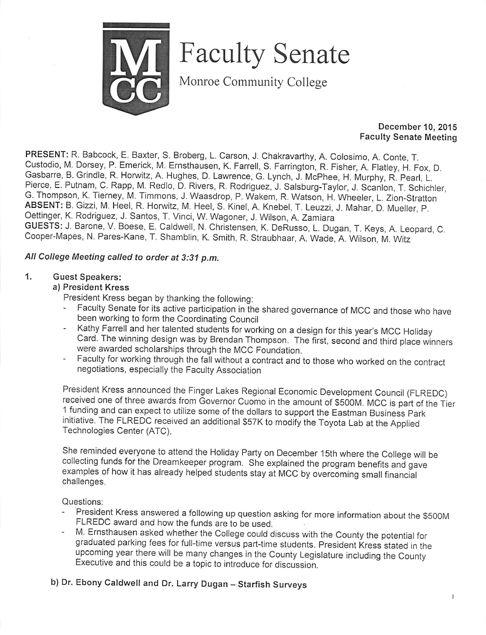

Faculty Senate

Monroe Community College

#### *December 10, 2015 Faculty Senate Meeting*

*PRESENT:* R. Babcock, E. Baxter, S. Broberg, L. Carson, J. Chakravarthy, A. Colosimo, A. Conte, T. Custodio, M. Dorsey, P. Emerick, M. Ernsthausen, K. Farrell, S. Farrington, R. Fisher, A.' Flatley, H. Fox, D. Gasbarre, B. Grindle, R. Horwitz, A. Hughes, D. Lawrence, G. Lynch, J. McPhee, H. Murphy, R.Pearl, L Pierce, E. Putnam, C. Rapp, M. Redlo, D. Rivers, R. Rodriguez, J. Salsburg-Taylor, J. Scanlon, T. Schichler, G. Thompson, K. Tierney, M. Timmons, J. Waasdrop, P. Wakem, R. Watson, H. Wheeler, L. Zion-Stratton *ABSENT:* B. Gizzi, M. Heel, R. Horwitz, M. Heel, S. Kinel, A. Knebel, T. Leuzzi, J. Mahar,' D. Mueller, P. Oettinger, K. Rodriguez, J. Santos, T. Vinci, W. Wagoner, J. Wilson, A. Zamiara *GUESTS:* J. Barone, V. Boese, E. Caldwell, N. Christensen, K. DeRusso, L. Dugan, T. Keys, A. Leopard, C. Cooper-Mapes, N. Pares-Kane, T. Shamblin, K. Smith, R. Straubhaar, A. Wade, A. Wilson, M. Witz

# *All College Meeting called to order at 3:31 p.m.*

#### *1. Guest Speakers:*

#### *a) President Kress*

President Kress began by thanking the following:<br>Faculty Senate for its active portisination in the

- Faculty Senate for its active participation in the shared governance of MCC and those who have been working to form the Coordinating Council
- Kathy Farrell and her talented students for working on a design for this year's MCC Holiday Card. The winning design was by Brendan Thompson. The first, second and third place winners were awarded scholarships through the MCC Foundation.
- Faculty for working through the fall without a contract and to those who worked on the contract negotiations, especially the Faculty Association

President Kress announced the Finger Lakes Regional Economic Development Council (FLREDC) received one of three awards from Governor Cuomo in the amount of S500M. MCC is part of the Tier 1 funding and can expect to utilize some ofthe dollars to support the Eastman Business Park initiative. The FLREDC received an additional \$57K to modify the Toyota Lab at the Applied Technologies Center (ATC).

She reminded everyone to attend the Holiday Party on December 15th where the College will be collecting funds for the Dreamkeeper program. She explained the program benefits and gave examples of how it has already helped students stay at MCC by overcoming small financial challenges.

Questions:

- President Kress answered a following up question asking for more information about the \$500M FLREDC award and how the funds are to be used.
- M. Ernsthausen asked whether the College could discuss with the County the potential for graduated parking fees for full-time versus part-time students. President Kress stated in the upcoming year there will be many changes in the County Legislature including the County Executive and this could be a topic to introduce for discussion.

*b) Dr. Ebony Caldwell and Dr. Larry Dugan - Starfish Surveys*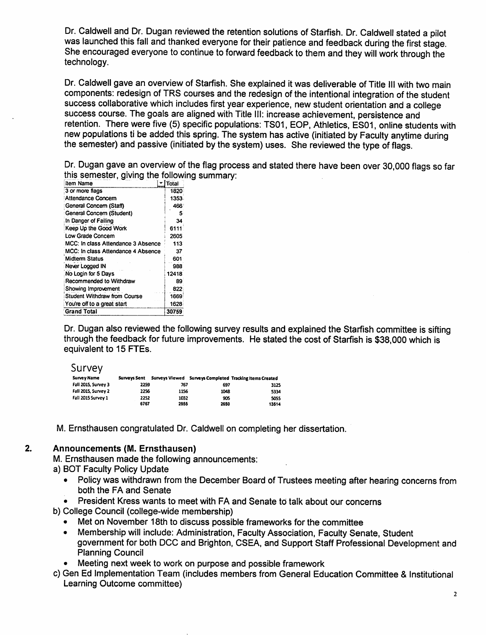Dr. Caldwell and Dr. Dugan reviewed the retention solutions of Starfish. Dr. Caldwell stated a pilot was launched this fall and thanked everyone for their patience and feedback during the first stage. She encouraged everyone to continue to forward feedback to them and they will work through the technology.

Dr. Caldwell gave an overview of Starfish. She explained it was deliverable of Title III with two main components: redesign of TRS courses and the redesign of the intentional integration of the student success collaborative which includes first year experience, new student orientation and a college success course. The goals are aligned with Title III: increase achievement, persistence and retention. There were five (5) specific populations: TS01, EOP, Athletics, ES01, online students with new populations ti be added this spring. The system has active (initiated by Faculty anytime during the semester) and passive (initiated by the system) uses. She reviewed the type of flags.

Dr. Dugan gave an overview of the flag process and stated there have been over 30,000 flags so far this semester, giving the following summary:

| item Name                           | Total |
|-------------------------------------|-------|
| 3 or more flags                     | 1820  |
| Attendance Concern                  | 1353  |
| General Concern (Staff)             | 466   |
| General Concern (Student)           | 5     |
| In Danger of Failing                | 34    |
| Keep Up the Good Work               | 6111  |
| Low Grade Concern                   | 2605  |
| MCC: In class Attendance 3 Absence  | 113   |
| MCC: In class Attendance 4 Absence  | 37    |
| <b>Midterm Status</b>               | 601   |
| Never Logged IN                     | 988   |
| No Login for 5 Days                 | 12418 |
| Recommended to Withdraw             | 89    |
| Showing Improvement                 | 822   |
| <b>Student Withdraw from Course</b> | 1669  |
| You're off to a great start         | 1628  |
| <b>Grand Total</b>                  | 30759 |

Dr. Dugan also reviewed the following survey results and explained the Starfish committee is sifting through the feedback for future improvements. He stated the cost of Starfish is \$38,000 which is equivalent to 15 FTEs.

#### Survey

| <b>Survey Name</b>  | <b>Surveys Sent</b> |      |      | Surveys Viewed Surveys Completed Tracking Items Created |
|---------------------|---------------------|------|------|---------------------------------------------------------|
| Fall 2015, Survey 3 | 2259                | 767  | 697  | 3125                                                    |
| Fall 2015, Survey 2 | 2256                | 1156 | 1048 | 5334                                                    |
| Fall 2015 Survey 1  | 2252                | 1032 | 905  | 5055                                                    |
|                     | 6767                | 2955 | 2650 | 13514                                                   |

M. Ernsthausen congratulated Dr. Caldwell on completing her dissertation.

### *2. Announcements (M. Ernsthausen)*

M. Ernsthausen made the following announcements:

- a) BOT Faculty Policy Update
	- Policywas withdrawn from the December Board of Trustees meeting after hearing concerns from both the FA and Senate
	- President Kress wants to meet with FA and Senate to talk about our concerns

b) College Council (college-wide membership)

- Met on November 18th to discuss possible frameworks for the committee
- Membership will include: Administration, Faculty Association, Faculty Senate, Student government for both DCC and Brighton, CSEA, and Support Staff Professional Development and Planning Council
- Meeting next week to work on purpose and possible framework
- c) Gen Ed Implementation Team (includes members from General Education Committee & Institutional Learning Outcome committee)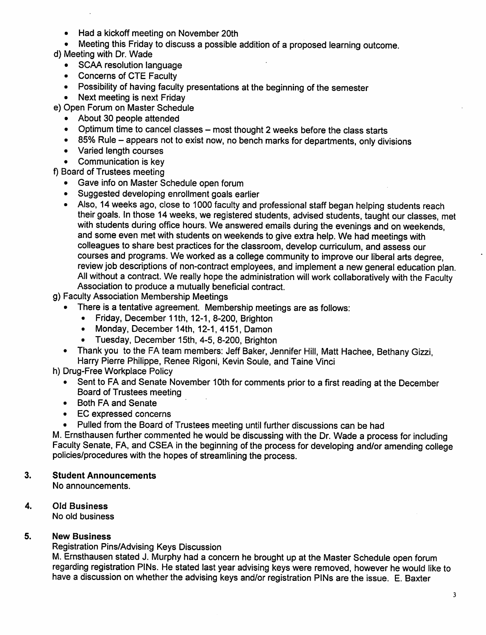- Had a kickoff meeting on November 20th
- Meeting this Friday to discuss a possible addition of a proposed learning outcome.
- d) Meeting with Dr. Wade
	- SCAA resolution language
	- Concerns of CTE Faculty
	- Possibility of having faculty presentations at the beginning of the semester
	- Next meeting is next Friday
- e) Open Forum on Master Schedule
	- About 30 people attended
	- Optimum time to cancel classes most thought 2 weeks before the class starts
	- 85% Rule appears not to exist now, no bench marks for departments, only divisions
	- Varied length courses
	- Communication is key

f) Board of Trustees meeting

- Gave info on Master Schedule open forum
- Suggested developing enrollment goals earlier
- Also, 14 weeks ago, close to 1000 faculty and professional staff began helping students reach their goals. In those 14 weeks, we registered students, advised students, taught our classes, met with students during office hours. We answered emails during the evenings and on weekends, and some even met with students on weekends to give extra help. We had meetings with colleagues to share best practices for the classroom, develop curriculum, and assess our courses and programs. We worked as a college community to improve our liberal arts degree, review job descriptions of non-contract employees, and implement a new general education plan. All without a contract. We really hope the administration will work collaboratively with the Faculty Association to produce a mutually beneficial contract.
- g) Faculty Association Membership Meetings
	- There is a tentative agreement. Membership meetings are as follows:
		- Friday, December 11th, 12-1, 8-200, Brighton
		- Monday, December 14th, 12-1, 4151, Damon
		- Tuesday, December 15th, 4-5, 8-200, Brighton
	- Thank you to the FA team members: Jeff Baker, Jennifer Hill, Matt Hachee, Bethany Gizzi, Harry Pierre Philippe, Renee Rigoni, Kevin Soule, and Taine Vinci

h) Drug-Free Workplace Policy

- Sent to FA and Senate November 10th for comments prior to a first reading at the December Board of Trustees meeting
- Both FA and Senate
- EC expressed concerns
- Pulled from the Board of Trustees meeting until further discussions can be had

M. Ernsthausen further commented he would be discussing with the Dr. Wade a process forincluding Faculty Senate, FA, and CSEA in the beginning of the process for developing and/or amending college policies/procedures with the hopes of streamlining the process.

# *3. Student Announcements*

No announcements.

4. Old *Business*

No old business

### *5. New Business*

Registration Pins/Advising Keys Discussion

M. Ernsthausen stated J. Murphy had a concern he brought up at the Master Schedule open forum regarding registration PINs. He stated last year advising keys were removed, however he would like to have a discussion on whether the advising keys and/or registration PINs are the issue. E. Baxter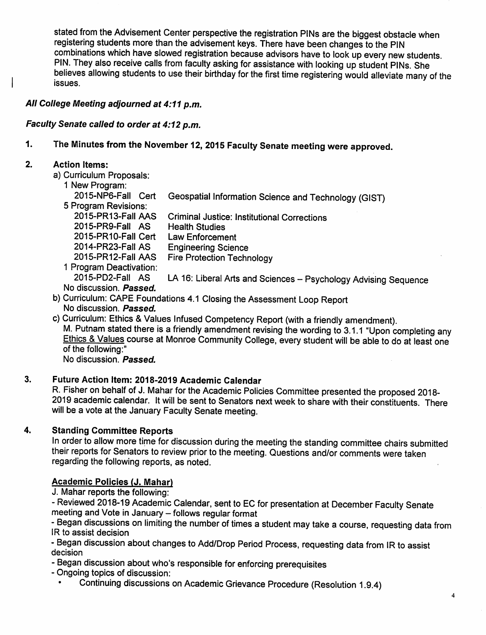stated from the Advisement Center perspective the registration PINs are the biggest obstacle when registering students more than the advisement keys. There have been changes to the PIN combinations which have slowed registration because advisors have to look up every new students. PIN. They also receive calls from faculty asking for assistance with looking up student PINs. She believes allowing students to use their birthday for the first time registering would alleviate many of the issues.

# *All College Meeting adjourned at 4:11 p.m.*

### *Faculty Senate called to order at 4:12 p.m.*

# *1. The Minutes from the November 12, 2015 Faculty Senate meeting were approved.*

### *2. Action Items:*

- a) Curriculum Proposals:
	- 1 New Program:

| <b>I</b> ivew Program.  |                                                                 |
|-------------------------|-----------------------------------------------------------------|
| 2015-NP6-Fall Cert      | Geospatial Information Science and Technology (GIST)            |
| 5 Program Revisions:    |                                                                 |
| 2015-PR13-Fall AAS      | <b>Criminal Justice: Institutional Corrections</b>              |
| 2015-PR9-Fall AS        | <b>Health Studies</b>                                           |
| 2015-PR10-Fall Cert     | <b>Law Enforcement</b>                                          |
| 2014-PR23-Fall AS       | <b>Engineering Science</b>                                      |
| 2015-PR12-Fall AAS      | <b>Fire Protection Technology</b>                               |
| 1 Program Deactivation: |                                                                 |
| 2015-PD2-Fall AS        | LA 16: Liberal Arts and Sciences - Psychology Advising Sequence |
| No discussion. Passed.  |                                                                 |
|                         |                                                                 |

- b) Curriculum: CAPE Foundations 4.1 Closing the Assessment Loop Report No discussion. *Passed.*
- c) Curriculum: Ethics & Values Infused Competency Report (with a friendly amendment). M. Putnam stated there is a friendly amendment revising the wording to 3.1.1 "Upon completing any Ethics & Values course at Monroe Community College, every student will be able to do at least one of the following:"

No discussion. *Passed.*

# *3. Future Action Item: 2018-2019 Academic Calendar*

R. Fisher on behalf of J. Mahar for the Academic Policies Committee presented the proposed 2018-2019 academic calendar. It will be sent to Senators next week to share with their constituents. There will be a vote at the January Faculty Senate meeting.

# *4. Standing Committee Reports*

In order to allow more time for discussion during the meeting the standing committee chairs submitted their reports for Senators to review prior to the meeting. Questions and/or comments were taken regarding the following reports, as noted.

# *Academic Policies (J. Mahar)*

J. Mahar reports the following:

- Reviewed 2018-19 Academic Calendar, sent to EC for presentation at December Faculty Senate meeting and Vote in January - follows regular format

- Began discussions on limiting the number of times a student may take a course, requesting data from IR to assist decision

- Began discussion about changes to Add/Drop Period Process, requesting data from IR to assist decision

- Began discussion about who's responsible for enforcing prerequisites
- Ongoing topics of discussion:
	- Continuing discussions on Academic Grievance Procedure (Resolution 1.9.4)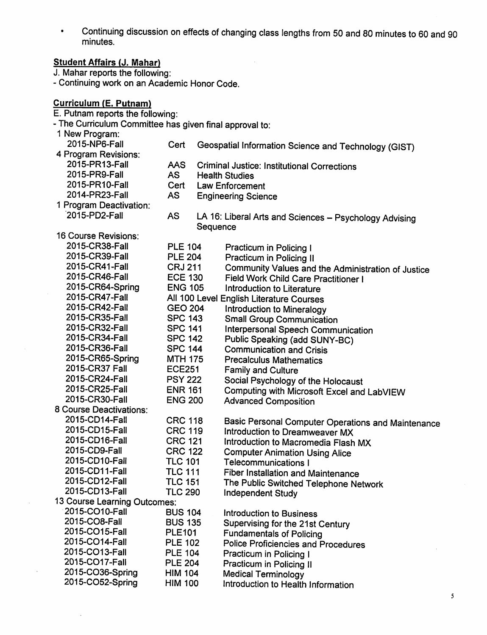Continuing discussion on effects of changing class lengths from 50 and 80 minutes to 60 and 90  $\bullet$ minutes.

# *Student Affairs (J. Mahar)*

J. Mahar reports the following:

- Continuing work on an Academic Honor Code.

# *Curriculum (E. Putnam)*

- E. Putnam reports the following:
- The Curriculum Committee has given final approval to:
- 1 New Program: 2015-NP6-Fall 4 Program Revisions: 2015-PR13-Fall 2015-PR9-Fall 2015-PR10-Fall 2014-PR23-Fall 1 Program Deactivation: 2015-PD2-Fall 16 Course Revisions: 2015-CR38-Fall 2015-CR39-Fall 2015-CR41-Fall 2015-CR46-Fall 2015-CR64-Spring 2015-CR47-Fall 2015-CR42-Fall 2015-CR35-Fall 2015-CR32-Fall 2015-CR34-Fall 2015-CR36-Fall 2015-CR65-Spring 2015-CR37 Fall 2015-CR24-Fall 2015-CR25-Fall 2015-CR30-Fall 8 Course Deactivations: 2015-CD14-Fall 2015-CD15-Fall 2015-CD16-Fall 2015-CD9-Fall 2015-CD10-Fall 2015-CD11-Fall 2015-CD12-Fall 2015-CD13-Fall Cert Geospatial Information Science and Technology (GIST) AAS AS **Cert** AS AS Criminal Justice: Institutional Corrections Health Studies Law Enforcement Engineering Science LA 16: Liberal Arts and Sciences - Psychology Advising Sequence PLE 104 Practicum in Policing I<br>PLE 204 Practicum in Policing II PLE 204 Practicum in Policing II<br>CRJ 211 Community Values and CRJ 211 Community Values and the Administration of Justice<br>ECE 130 Field Work Child Care Practitioner I ECE 130 Field Work Child Care Practitioner I<br>ENG 105 Introduction to Literature Introduction to Literature All 100 Level English Literature Courses GEO 204 SPC 143 SPC 141 SPC 142 SPC 144 MTH 175 ECE251 PSY 222 ENR 161 ENG 200 CRC118 CRC119 CRC 121 CRC 122 TLC 101 TLC111 TLC 151 TLC 290 13 Course Learning Outcomes: 2015-CO10-Fall BUS 104 2015-CO8-Fall BUS 135 2015-CO15-Fall PLE101 2015-CO14-Fall PLE 102 2015-CO13-Fall PLE 104 2015-CO17-Fall PLE 204 2015-C036-Spring HIM 104 2015-CO52-Spring HIM 100 Introduction to Mineralogy Small Group Communication Interpersonal Speech Communication Public Speaking (add SUNY-BC) Communication and Crisis Precalculus Mathematics Family and Culture Social Psychology of the Holocaust Computing with Microsoft Excel and LabVIEW Advanced Composition Basic Personal Computer Operations and Maintenance Introduction to Dreamweaver MX Introduction to Macromedia Flash MX Computer Animation Using Alice Telecommunications I Fiber Installation and Maintenance The Public Switched Telephone Network Independent Study Introduction to Business Supervising for the 21st Century Fundamentals of Policing Police Proficiencies and Procedures Practicum in Policing I Practicum in Policing II Medical Terminology Introduction to Health Information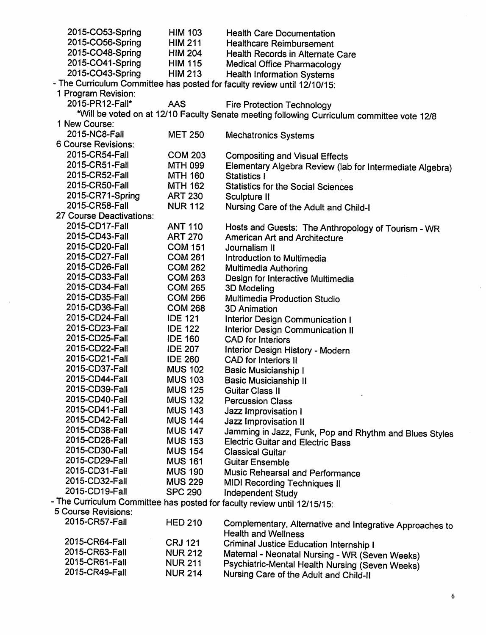| 2015-CO53-Spring         | <b>HIM 103</b> | <b>Health Care Documentation</b>                                                           |
|--------------------------|----------------|--------------------------------------------------------------------------------------------|
| 2015-CO56-Spring         | <b>HIM 211</b> | <b>Healthcare Reimbursement</b>                                                            |
| 2015-CO48-Spring         | <b>HIM 204</b> | Health Records in Alternate Care                                                           |
| 2015-CO41-Spring         | <b>HIM 115</b> | <b>Medical Office Pharmacology</b>                                                         |
| 2015-CO43-Spring         | <b>HIM 213</b> | <b>Health Information Systems</b>                                                          |
|                          |                | - The Curriculum Committee has posted for faculty review until 12/10/15:                   |
| 1 Program Revision:      |                |                                                                                            |
| 2015-PR12-Fall*          | <b>AAS</b>     | <b>Fire Protection Technology</b>                                                          |
|                          |                | *Will be voted on at 12/10 Faculty Senate meeting following Curriculum committee vote 12/8 |
| 1 New Course:            |                |                                                                                            |
| 2015-NC8-Fall            | <b>MET 250</b> | <b>Mechatronics Systems</b>                                                                |
| 6 Course Revisions:      |                |                                                                                            |
| 2015-CR54-Fall           | <b>COM 203</b> | <b>Compositing and Visual Effects</b>                                                      |
| 2015-CR51-Fall           | <b>MTH 099</b> |                                                                                            |
| 2015-CR52-Fall           | <b>MTH 160</b> | Elementary Algebra Review (lab for Intermediate Algebra)<br>Statistics I                   |
| 2015-CR50-Fall           |                |                                                                                            |
| 2015-CR71-Spring         | <b>MTH 162</b> | <b>Statistics for the Social Sciences</b>                                                  |
| 2015-CR58-Fall           | <b>ART 230</b> | Sculpture II                                                                               |
|                          | <b>NUR 112</b> | Nursing Care of the Adult and Child-I                                                      |
| 27 Course Deactivations: |                |                                                                                            |
| 2015-CD17-Fall           | <b>ANT 110</b> | Hosts and Guests: The Anthropology of Tourism - WR                                         |
| 2015-CD43-Fall           | <b>ART 270</b> | American Art and Architecture                                                              |
| 2015-CD20-Fall           | <b>COM 151</b> | Journalism II                                                                              |
| 2015-CD27-Fall           | <b>COM 261</b> | Introduction to Multimedia                                                                 |
| 2015-CD26-Fall           | <b>COM 262</b> | Multimedia Authoring                                                                       |
| 2015-CD33-Fall           | <b>COM 263</b> | Design for Interactive Multimedia                                                          |
| 2015-CD34-Fall           | <b>COM 265</b> | 3D Modeling                                                                                |
| 2015-CD35-Fall           | <b>COM 266</b> | Multimedia Production Studio                                                               |
| 2015-CD36-Fall           | <b>COM 268</b> | <b>3D Animation</b>                                                                        |
| 2015-CD24-Fall           | <b>IDE 121</b> | <b>Interior Design Communication I</b>                                                     |
| 2015-CD23-Fall           | <b>IDE 122</b> | Interior Design Communication II                                                           |
| 2015-CD25-Fall           | <b>IDE 160</b> | <b>CAD</b> for Interiors                                                                   |
| 2015-CD22-Fall           | <b>IDE 207</b> | Interior Design History - Modern                                                           |
| 2015-CD21-Fall           | <b>IDE 260</b> | <b>CAD</b> for Interiors II                                                                |
| 2015-CD37-Fall           | <b>MUS 102</b> | <b>Basic Musicianship I</b>                                                                |
| 2015-CD44-Fall           | <b>MUS 103</b> | <b>Basic Musicianship II</b>                                                               |
| 2015-CD39-Fall           | <b>MUS 125</b> | Guitar Class II                                                                            |
| 2015-CD40-Fall           | <b>MUS 132</b> | <b>Percussion Class</b>                                                                    |
| 2015-CD41-Fall           | <b>MUS 143</b> | Jazz Improvisation I                                                                       |
| 2015-CD42-Fall           | <b>MUS 144</b> | Jazz Improvisation II                                                                      |
| 2015-CD38-Fall           | <b>MUS 147</b> |                                                                                            |
| 2015-CD28-Fall           | <b>MUS 153</b> | Jamming in Jazz, Funk, Pop and Rhythm and Blues Styles                                     |
| 2015-CD30-Fall           | <b>MUS 154</b> | <b>Electric Guitar and Electric Bass</b>                                                   |
| 2015-CD29-Fall           |                | <b>Classical Guitar</b>                                                                    |
| 2015-CD31-Fall           | <b>MUS 161</b> | <b>Guitar Ensemble</b>                                                                     |
|                          | <b>MUS 190</b> | Music Rehearsal and Performance                                                            |
| 2015-CD32-Fall           | <b>MUS 229</b> | <b>MIDI Recording Techniques II</b>                                                        |
| 2015-CD19-Fall           | <b>SPC 290</b> | <b>Independent Study</b>                                                                   |
|                          |                | - The Curriculum Committee has posted for faculty review until 12/15/15:                   |
| 5 Course Revisions:      |                |                                                                                            |
| 2015-CR57-Fall           | <b>HED 210</b> | Complementary, Alternative and Integrative Approaches to<br><b>Health and Wellness</b>     |
| 2015-CR64-Fall           | <b>CRJ 121</b> | <b>Criminal Justice Education Internship I</b>                                             |
| 2015-CR63-Fall           | <b>NUR 212</b> | Maternal - Neonatal Nursing - WR (Seven Weeks)                                             |
| 2015-CR61-Fall           | <b>NUR 211</b> | Psychiatric-Mental Health Nursing (Seven Weeks)                                            |
|                          |                |                                                                                            |

 $\ddot{\phantom{a}}$ 

*2015-CR49-Fall NUR214 Nursing Care of the Adult and Child-ll*  $\bar{z}$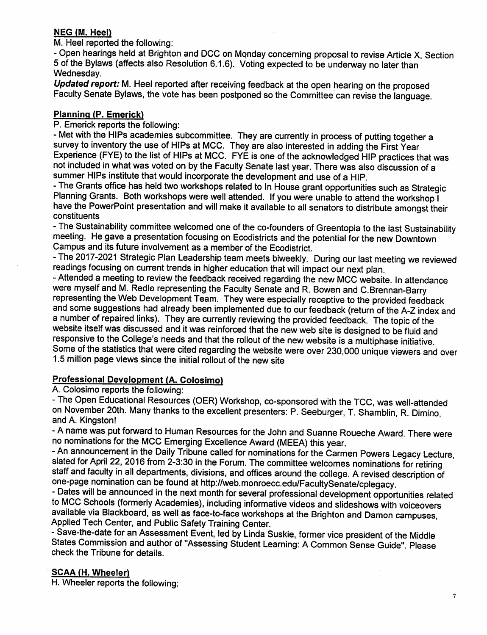# *NEG (M. Heel)*

M. Heel reported the following:

- Open hearings held at Brighton and DCC on Monday concerning proposal to revise Article X, Section 5 of the Bylaws (affects also Resolution 6.1.6). Voting expected to be underway no later than Wednesday.

*Updated report:* M. Heel reported after receiving feedback at the open hearing on the proposed Faculty Senate Bylaws, the vote has been postponed so the Committee can revise the language.

# *Planning (P. Emerick)*

P. Emerick reports the following:

- Met with the HIPs academies subcommittee. They are currently in process of putting together a survey to inventory the use of HIPs at MCC. They are also interested in adding the First Year Experience (FYE) to the list of HIPs at MCC. FYE is one of the acknowledged HIP practices that was not included in what was voted on by the Faculty Senate last year. There was also discussion of a summer HIPs institute that would incorporate the development and use of a HIP.<br>- The Grants office has held two workshops related to In House grant opportunities such as Strategic

Planning Grants. Both workshops were well attended. If you were unable to attend the workshop I have the PowerPoint presentation and will make it available to all senators to distribute amongst their constituents

-The Sustainability committee welcomed one of the co-founders of Greentopia to the last Sustainability meeting. He gave a presentation focusing on Ecodistricts and the potential for the new Downtown Campus and its future involvement as a member of the Ecodistrict.

-The 2017-2021 Strategic Plan Leadership team meets biweekly. During our last meeting we reviewed readings focusing on current trends in higher education thatwill impact our next plan.

- Attended a meeting to review the feedback received regarding the new MCC website. In attendance were myself and M. Redlo representing the Faculty Senate and R. Bowen and C.Brennan-Barry representing theWeb Development Team. They were especially receptive to the provided feedback and some suggestions had already been implemented due to our feedback (return of the A-Z index and a number of repaired links). They are currently reviewing the provided feedback. The topic of the website itself was discussed and it was reinforced that the new web site is designed to be fluid and responsive to the College's needs and that the rollout of the new website is a multiphase initiative. Some of the statistics that were cited regarding the website were over 230,000 unique viewers and over 1.5 million page views since the initial rollout of the new site

# *Professional Development (A. Colosimo)*

A. Colosimo reports the following:

- The Open Educational Resources (OER) Workshop, co-sponsored with the TCC, was well-attended on November 20th. Many thanks to the excellent presenters: P. Seeburger, T. Shamblin, R. Dimino, and A. Kingston!

- A name was put forward to Human Resources for the John and Suanne Roueche Award. There were no nominations for the MCC Emerging Excellence Award (MEEA) this year.

- An announcement in the Daily Tribune called for nominations for the Carmen Powers Legacy Lecture, slated for April 22, 2016 from 2-3:30 in the Forum. The committee welcomes nominations for retiring staff and faculty in all departments, divisions, and offices around the college. A revised description of one-page nomination can be found at http://web.monroecc.edu/FacultySenate/cplegacy.

- Dates will be announced in the next month for several professional development opportunities related to MCC Schools (formerly Academies), including informative videos and slideshows with voiceovers available via Blackboard, as well as face-to-face workshops at the Brighton and Damon campuses, Applied Tech Center, and Public Safety Training Center.

- Save-the-date for an Assessment Event, led by Linda Suskie, former vice president of the Middle States Commission and author of "Assessing Student Learning: A Common Sense Guide". Please check the Tribune for details.

### *SCAA (H. Wheeler)*

H. Wheeler reports the following: